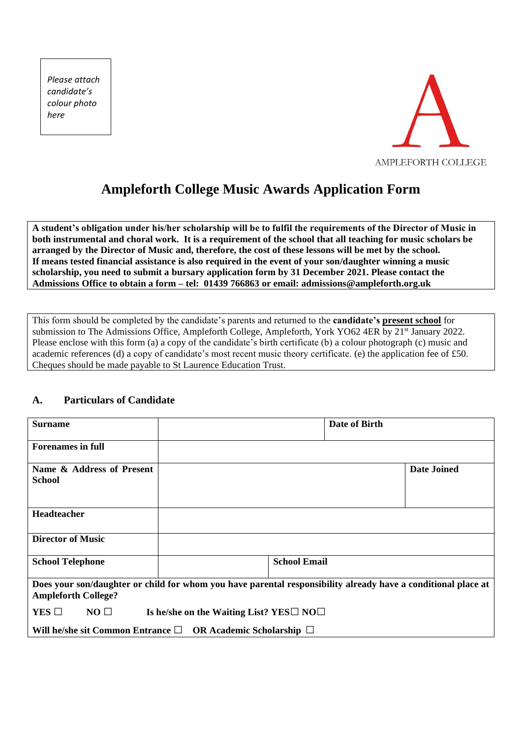*Please attach candidate's colour photo here*



# **Ampleforth College Music Awards Application Form**

**A student's obligation under his/her scholarship will be to fulfil the requirements of the Director of Music in both instrumental and choral work. It is a requirement of the school that all teaching for music scholars be arranged by the Director of Music and, therefore, the cost of these lessons will be met by the school. If means tested financial assistance is also required in the event of your son/daughter winning a music scholarship, you need to submit a bursary application form by 31 December 2021. Please contact the Admissions Office to obtain a form – tel: 01439 766863 or email: admissions@ampleforth.org.uk**

This form should be completed by the candidate's parents and returned to the **candidate's present school** for submission to The Admissions Office, Ampleforth College, Ampleforth, York YO62 4ER by 21<sup>st</sup> January 2022. Please enclose with this form (a) a copy of the candidate's birth certificate (b) a colour photograph (c) music and academic references (d) a copy of candidate's most recent music theory certificate. (e) the application fee of £50. Cheques should be made payable to St Laurence Education Trust.

#### **A. Particulars of Candidate**

| <b>Surname</b>                                                                                                                              |  |                     | Date of Birth |                    |
|---------------------------------------------------------------------------------------------------------------------------------------------|--|---------------------|---------------|--------------------|
| <b>Forenames in full</b>                                                                                                                    |  |                     |               |                    |
| Name & Address of Present<br><b>School</b>                                                                                                  |  |                     |               | <b>Date Joined</b> |
| Headteacher                                                                                                                                 |  |                     |               |                    |
| <b>Director of Music</b>                                                                                                                    |  |                     |               |                    |
| <b>School Telephone</b>                                                                                                                     |  | <b>School Email</b> |               |                    |
| Does your son/daughter or child for whom you have parental responsibility already have a conditional place at<br><b>Ampleforth College?</b> |  |                     |               |                    |
| $YES$ $\square$<br>$NO \Box$<br>Is he/she on the Waiting List? YES□ NO□                                                                     |  |                     |               |                    |
| Will he/she sit Common Entrance $\square$ OR Academic Scholarship $\square$                                                                 |  |                     |               |                    |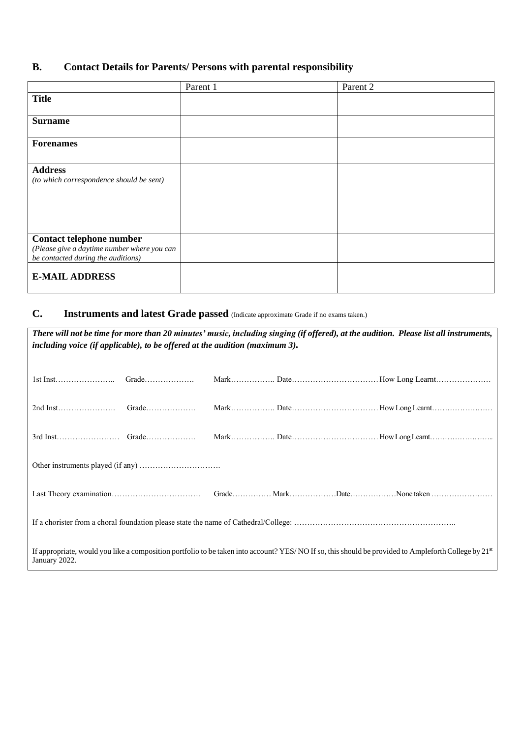## **B. Contact Details for Parents/ Persons with parental responsibility**

|                                                                                                               | Parent 1 | Parent 2 |
|---------------------------------------------------------------------------------------------------------------|----------|----------|
| <b>Title</b>                                                                                                  |          |          |
| <b>Surname</b>                                                                                                |          |          |
| <b>Forenames</b>                                                                                              |          |          |
| <b>Address</b><br>(to which correspondence should be sent)                                                    |          |          |
| Contact telephone number<br>(Please give a daytime number where you can<br>be contacted during the auditions) |          |          |
| <b>E-MAIL ADDRESS</b>                                                                                         |          |          |

### **C. Instruments and latest Grade passed** (Indicate approximate Grade if no exams taken.)

| There will not be time for more than 20 minutes' music, including singing (if offered), at the audition. Please list all instruments,<br>including voice (if applicable), to be offered at the audition (maximum 3). |  |  |  |  |
|----------------------------------------------------------------------------------------------------------------------------------------------------------------------------------------------------------------------|--|--|--|--|
|                                                                                                                                                                                                                      |  |  |  |  |
|                                                                                                                                                                                                                      |  |  |  |  |
|                                                                                                                                                                                                                      |  |  |  |  |
|                                                                                                                                                                                                                      |  |  |  |  |
|                                                                                                                                                                                                                      |  |  |  |  |
|                                                                                                                                                                                                                      |  |  |  |  |
|                                                                                                                                                                                                                      |  |  |  |  |
| If appropriate, would you like a composition portfolio to be taken into account? YES/NO If so, this should be provided to Ampleforth College by 21st<br>January 2022.                                                |  |  |  |  |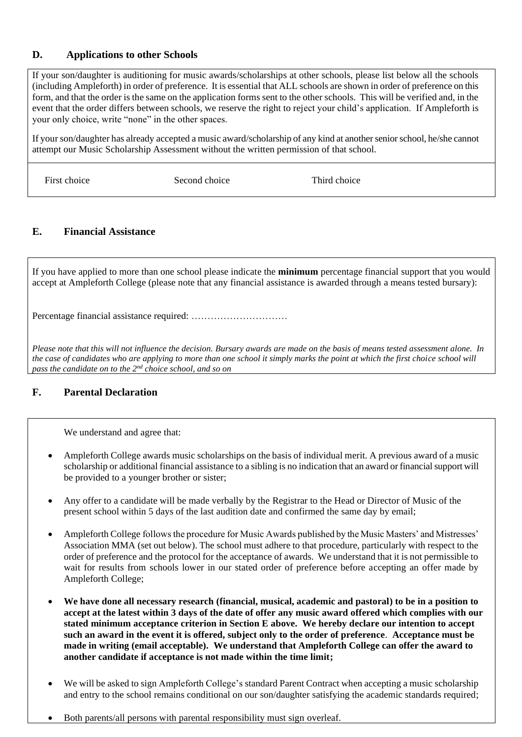#### **D. Applications to other Schools**

If your son/daughter is auditioning for music awards/scholarships at other schools, please list below all the schools (including Ampleforth) in order of preference. It is essential that ALL schools are shown in order of preference on this form, and that the order is the same on the application forms sent to the other schools. This will be verified and, in the event that the order differs between schools, we reserve the right to reject your child's application. If Ampleforth is your only choice, write "none" in the other spaces.

If your son/daughter has already accepted a music award/scholarship of any kind at another senior school, he/she cannot attempt our Music Scholarship Assessment without the written permission of that school.

First choice Second choice Third choice Third choice

#### **E. Financial Assistance**

If you have applied to more than one school please indicate the **minimum** percentage financial support that you would accept at Ampleforth College (please note that any financial assistance is awarded through a means tested bursary):

Percentage financial assistance required: …………………………

*Please note that this will not influence the decision. Bursary awards are made on the basis of means tested assessment alone. In the case of candidates who are applying to more than one school it simply marks the point at which the first choice school will pass the candidate on to the 2nd choice school, and so on*

#### **F. Parental Declaration**

We understand and agree that:

- Ampleforth College awards music scholarships on the basis of individual merit. A previous award of a music scholarship or additional financial assistance to a sibling is no indication that an award or financial support will be provided to a younger brother or sister;
- Any offer to a candidate will be made verbally by the Registrar to the Head or Director of Music of the present school within 5 days of the last audition date and confirmed the same day by email;
- Ampleforth College follows the procedure for Music Awards published by the Music Masters' and Mistresses' Association MMA (set out below). The school must adhere to that procedure, particularly with respect to the order of preference and the protocol for the acceptance of awards. We understand that it is not permissible to wait for results from schools lower in our stated order of preference before accepting an offer made by Ampleforth College;
- **We have done all necessary research (financial, musical, academic and pastoral) to be in a position to accept at the latest within 3 days of the date of offer any music award offered which complies with our stated minimum acceptance criterion in Section E above. We hereby declare our intention to accept such an award in the event it is offered, subject only to the order of preference**. **Acceptance must be made in writing (email acceptable). We understand that Ampleforth College can offer the award to another candidate if acceptance is not made within the time limit;**
- We will be asked to sign Ampleforth College's standard Parent Contract when accepting a music scholarship and entry to the school remains conditional on our son/daughter satisfying the academic standards required;
- Both parents/all persons with parental responsibility must sign overleaf.